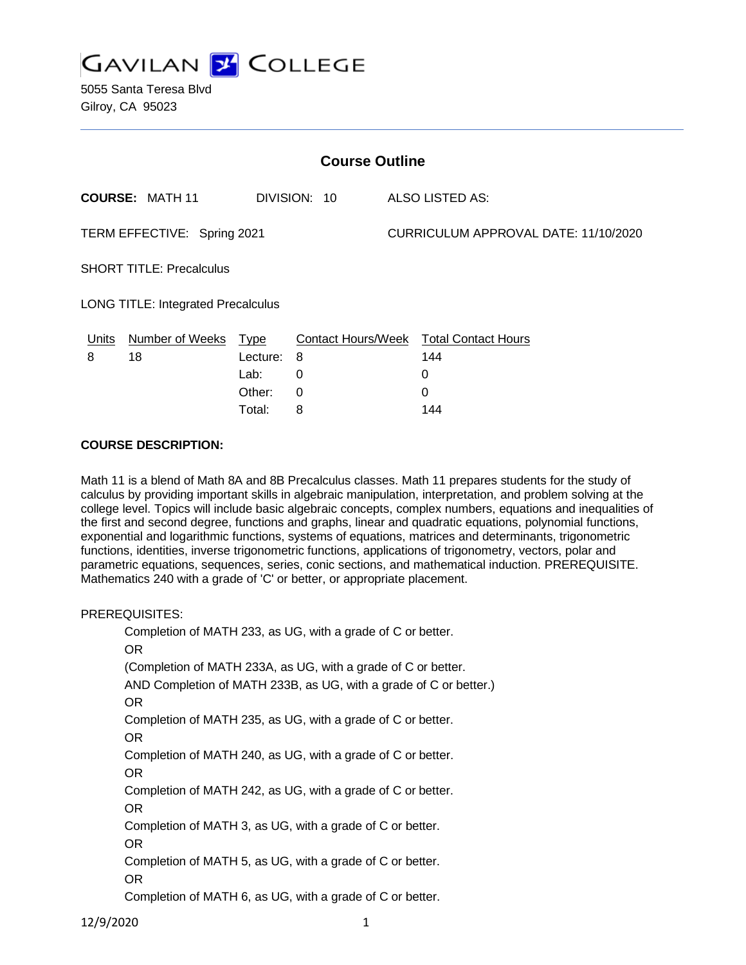

5055 Santa Teresa Blvd Gilroy, CA 95023

| <b>Course Outline</b>                     |                        |          |              |                                      |                                        |
|-------------------------------------------|------------------------|----------|--------------|--------------------------------------|----------------------------------------|
|                                           | <b>COURSE: MATH 11</b> |          | DIVISION: 10 |                                      | ALSO LISTED AS:                        |
| TERM EFFECTIVE: Spring 2021               |                        |          |              | CURRICULUM APPROVAL DATE: 11/10/2020 |                                        |
| <b>SHORT TITLE: Precalculus</b>           |                        |          |              |                                      |                                        |
| <b>LONG TITLE: Integrated Precalculus</b> |                        |          |              |                                      |                                        |
| Units                                     | Number of Weeks Type   |          |              |                                      | Contact Hours/Week Total Contact Hours |
| 8                                         | 18                     | Lecture: | - 8          |                                      | 144                                    |
|                                           |                        | Lab:     | 0            |                                      | 0                                      |
|                                           |                        | Other:   | $\Omega$     |                                      | 0                                      |
|                                           |                        | Total:   | 8            |                                      | 144                                    |

### **COURSE DESCRIPTION:**

Math 11 is a blend of Math 8A and 8B Precalculus classes. Math 11 prepares students for the study of calculus by providing important skills in algebraic manipulation, interpretation, and problem solving at the college level. Topics will include basic algebraic concepts, complex numbers, equations and inequalities of the first and second degree, functions and graphs, linear and quadratic equations, polynomial functions, exponential and logarithmic functions, systems of equations, matrices and determinants, trigonometric functions, identities, inverse trigonometric functions, applications of trigonometry, vectors, polar and parametric equations, sequences, series, conic sections, and mathematical induction. PREREQUISITE. Mathematics 240 with a grade of 'C' or better, or appropriate placement.

#### PREREQUISITES:

Completion of MATH 233, as UG, with a grade of C or better. OR (Completion of MATH 233A, as UG, with a grade of C or better. AND Completion of MATH 233B, as UG, with a grade of C or better.) OR Completion of MATH 235, as UG, with a grade of C or better. OR Completion of MATH 240, as UG, with a grade of C or better. OR Completion of MATH 242, as UG, with a grade of C or better. OR Completion of MATH 3, as UG, with a grade of C or better. OR Completion of MATH 5, as UG, with a grade of C or better. OR Completion of MATH 6, as UG, with a grade of C or better.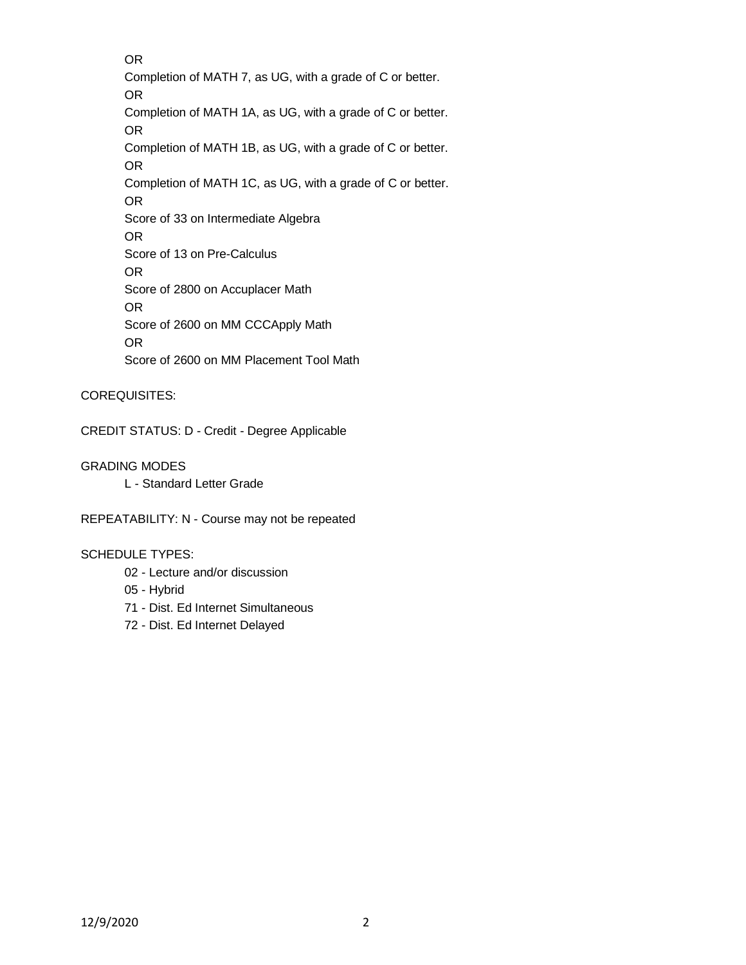OR Completion of MATH 7, as UG, with a grade of C or better. OR Completion of MATH 1A, as UG, with a grade of C or better. OR Completion of MATH 1B, as UG, with a grade of C or better. OR Completion of MATH 1C, as UG, with a grade of C or better. OR Score of 33 on Intermediate Algebra OR Score of 13 on Pre-Calculus OR Score of 2800 on Accuplacer Math OR Score of 2600 on MM CCCApply Math OR Score of 2600 on MM Placement Tool Math

## COREQUISITES:

CREDIT STATUS: D - Credit - Degree Applicable

## GRADING MODES

L - Standard Letter Grade

REPEATABILITY: N - Course may not be repeated

## SCHEDULE TYPES:

- 02 Lecture and/or discussion
- 05 Hybrid
- 71 Dist. Ed Internet Simultaneous
- 72 Dist. Ed Internet Delayed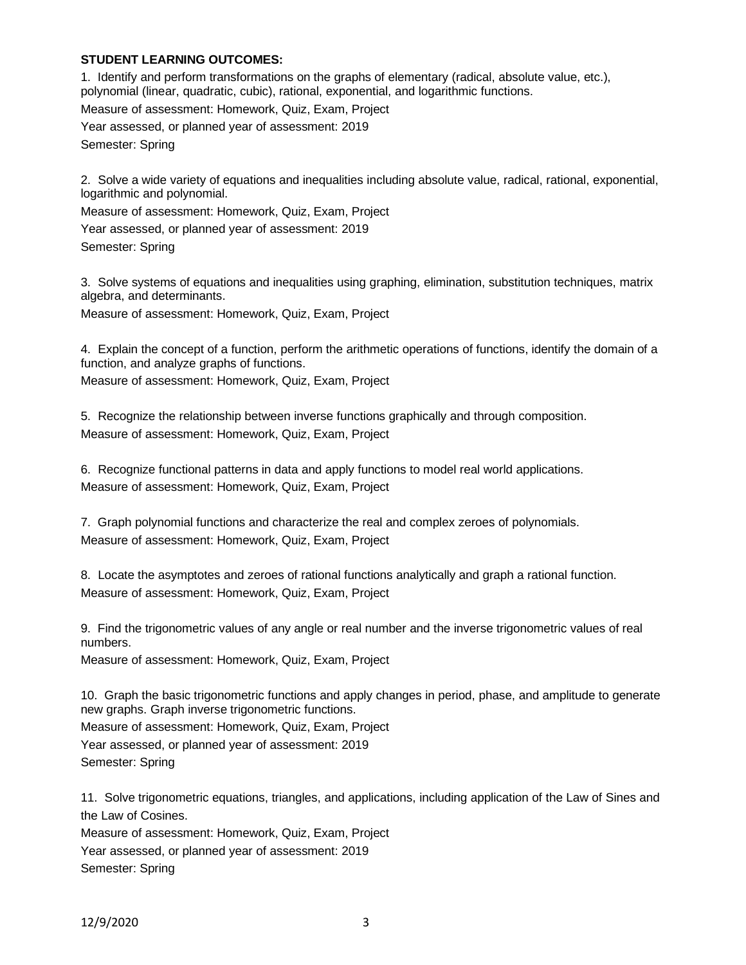## **STUDENT LEARNING OUTCOMES:**

1. Identify and perform transformations on the graphs of elementary (radical, absolute value, etc.), polynomial (linear, quadratic, cubic), rational, exponential, and logarithmic functions. Measure of assessment: Homework, Quiz, Exam, Project Year assessed, or planned year of assessment: 2019 Semester: Spring

2. Solve a wide variety of equations and inequalities including absolute value, radical, rational, exponential, logarithmic and polynomial.

Measure of assessment: Homework, Quiz, Exam, Project

Year assessed, or planned year of assessment: 2019

Semester: Spring

3. Solve systems of equations and inequalities using graphing, elimination, substitution techniques, matrix algebra, and determinants.

Measure of assessment: Homework, Quiz, Exam, Project

4. Explain the concept of a function, perform the arithmetic operations of functions, identify the domain of a function, and analyze graphs of functions.

Measure of assessment: Homework, Quiz, Exam, Project

5. Recognize the relationship between inverse functions graphically and through composition. Measure of assessment: Homework, Quiz, Exam, Project

6. Recognize functional patterns in data and apply functions to model real world applications. Measure of assessment: Homework, Quiz, Exam, Project

7. Graph polynomial functions and characterize the real and complex zeroes of polynomials. Measure of assessment: Homework, Quiz, Exam, Project

8. Locate the asymptotes and zeroes of rational functions analytically and graph a rational function. Measure of assessment: Homework, Quiz, Exam, Project

9. Find the trigonometric values of any angle or real number and the inverse trigonometric values of real numbers.

Measure of assessment: Homework, Quiz, Exam, Project

10. Graph the basic trigonometric functions and apply changes in period, phase, and amplitude to generate new graphs. Graph inverse trigonometric functions.

Measure of assessment: Homework, Quiz, Exam, Project

Year assessed, or planned year of assessment: 2019 Semester: Spring

11. Solve trigonometric equations, triangles, and applications, including application of the Law of Sines and the Law of Cosines.

Measure of assessment: Homework, Quiz, Exam, Project Year assessed, or planned year of assessment: 2019

Semester: Spring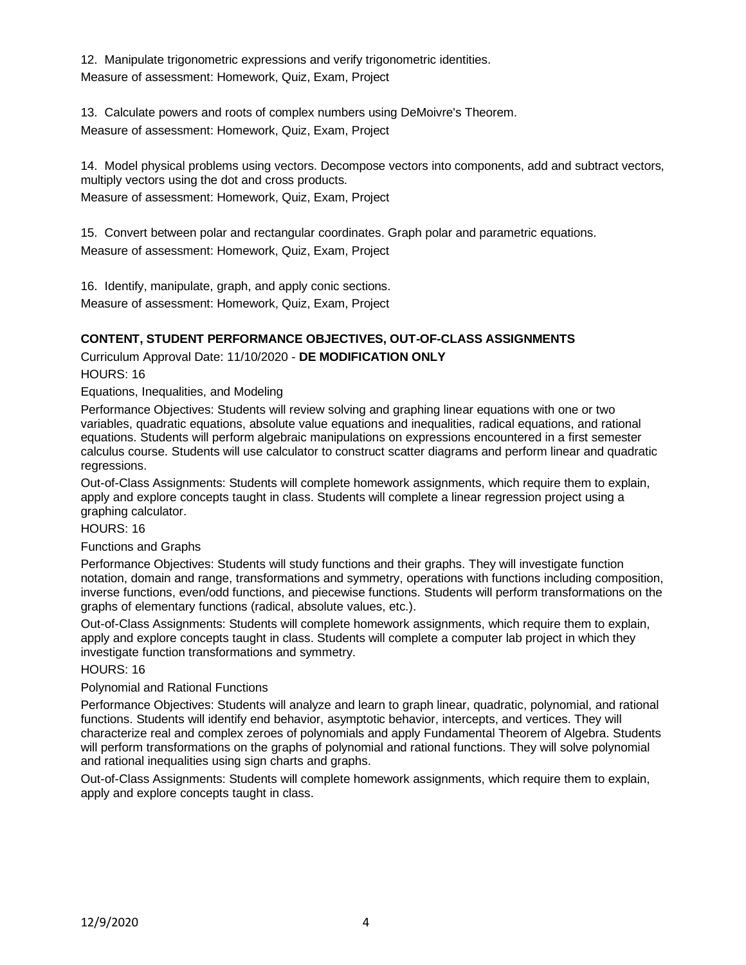12. Manipulate trigonometric expressions and verify trigonometric identities. Measure of assessment: Homework, Quiz, Exam, Project

13. Calculate powers and roots of complex numbers using DeMoivre's Theorem. Measure of assessment: Homework, Quiz, Exam, Project

14. Model physical problems using vectors. Decompose vectors into components, add and subtract vectors, multiply vectors using the dot and cross products.

Measure of assessment: Homework, Quiz, Exam, Project

15. Convert between polar and rectangular coordinates. Graph polar and parametric equations. Measure of assessment: Homework, Quiz, Exam, Project

16. Identify, manipulate, graph, and apply conic sections. Measure of assessment: Homework, Quiz, Exam, Project

# **CONTENT, STUDENT PERFORMANCE OBJECTIVES, OUT-OF-CLASS ASSIGNMENTS**

## Curriculum Approval Date: 11/10/2020 - **DE MODIFICATION ONLY**

HOURS: 16

Equations, Inequalities, and Modeling

Performance Objectives: Students will review solving and graphing linear equations with one or two variables, quadratic equations, absolute value equations and inequalities, radical equations, and rational equations. Students will perform algebraic manipulations on expressions encountered in a first semester calculus course. Students will use calculator to construct scatter diagrams and perform linear and quadratic regressions.

Out-of-Class Assignments: Students will complete homework assignments, which require them to explain, apply and explore concepts taught in class. Students will complete a linear regression project using a graphing calculator.

HOURS: 16

## Functions and Graphs

Performance Objectives: Students will study functions and their graphs. They will investigate function notation, domain and range, transformations and symmetry, operations with functions including composition, inverse functions, even/odd functions, and piecewise functions. Students will perform transformations on the graphs of elementary functions (radical, absolute values, etc.).

Out-of-Class Assignments: Students will complete homework assignments, which require them to explain, apply and explore concepts taught in class. Students will complete a computer lab project in which they investigate function transformations and symmetry.

## HOURS: 16

## Polynomial and Rational Functions

Performance Objectives: Students will analyze and learn to graph linear, quadratic, polynomial, and rational functions. Students will identify end behavior, asymptotic behavior, intercepts, and vertices. They will characterize real and complex zeroes of polynomials and apply Fundamental Theorem of Algebra. Students will perform transformations on the graphs of polynomial and rational functions. They will solve polynomial and rational inequalities using sign charts and graphs.

Out-of-Class Assignments: Students will complete homework assignments, which require them to explain, apply and explore concepts taught in class.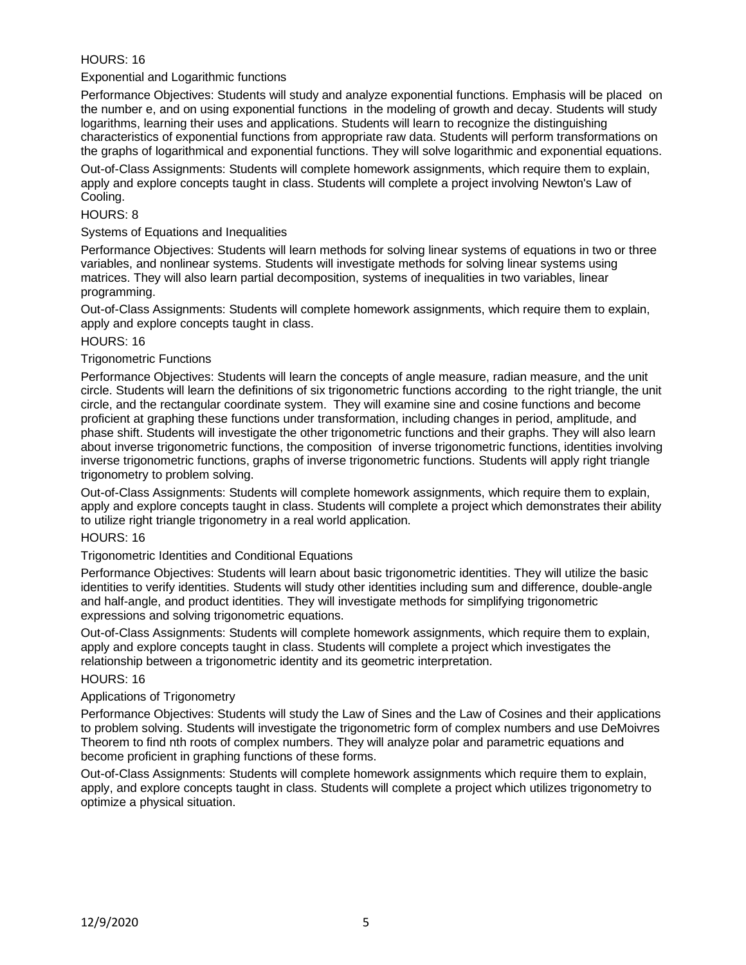## HOURS: 16

### Exponential and Logarithmic functions

Performance Objectives: Students will study and analyze exponential functions. Emphasis will be placed on the number e, and on using exponential functions in the modeling of growth and decay. Students will study logarithms, learning their uses and applications. Students will learn to recognize the distinguishing characteristics of exponential functions from appropriate raw data. Students will perform transformations on the graphs of logarithmical and exponential functions. They will solve logarithmic and exponential equations.

Out-of-Class Assignments: Students will complete homework assignments, which require them to explain, apply and explore concepts taught in class. Students will complete a project involving Newton's Law of Cooling.

## HOURS: 8

### Systems of Equations and Inequalities

Performance Objectives: Students will learn methods for solving linear systems of equations in two or three variables, and nonlinear systems. Students will investigate methods for solving linear systems using matrices. They will also learn partial decomposition, systems of inequalities in two variables, linear programming.

Out-of-Class Assignments: Students will complete homework assignments, which require them to explain, apply and explore concepts taught in class.

### HOURS: 16

### Trigonometric Functions

Performance Objectives: Students will learn the concepts of angle measure, radian measure, and the unit circle. Students will learn the definitions of six trigonometric functions according to the right triangle, the unit circle, and the rectangular coordinate system. They will examine sine and cosine functions and become proficient at graphing these functions under transformation, including changes in period, amplitude, and phase shift. Students will investigate the other trigonometric functions and their graphs. They will also learn about inverse trigonometric functions, the composition of inverse trigonometric functions, identities involving inverse trigonometric functions, graphs of inverse trigonometric functions. Students will apply right triangle trigonometry to problem solving.

Out-of-Class Assignments: Students will complete homework assignments, which require them to explain, apply and explore concepts taught in class. Students will complete a project which demonstrates their ability to utilize right triangle trigonometry in a real world application.

#### HOURS: 16

### Trigonometric Identities and Conditional Equations

Performance Objectives: Students will learn about basic trigonometric identities. They will utilize the basic identities to verify identities. Students will study other identities including sum and difference, double-angle and half-angle, and product identities. They will investigate methods for simplifying trigonometric expressions and solving trigonometric equations.

Out-of-Class Assignments: Students will complete homework assignments, which require them to explain, apply and explore concepts taught in class. Students will complete a project which investigates the relationship between a trigonometric identity and its geometric interpretation.

#### HOURS: 16

#### Applications of Trigonometry

Performance Objectives: Students will study the Law of Sines and the Law of Cosines and their applications to problem solving. Students will investigate the trigonometric form of complex numbers and use DeMoivres Theorem to find nth roots of complex numbers. They will analyze polar and parametric equations and become proficient in graphing functions of these forms.

Out-of-Class Assignments: Students will complete homework assignments which require them to explain, apply, and explore concepts taught in class. Students will complete a project which utilizes trigonometry to optimize a physical situation.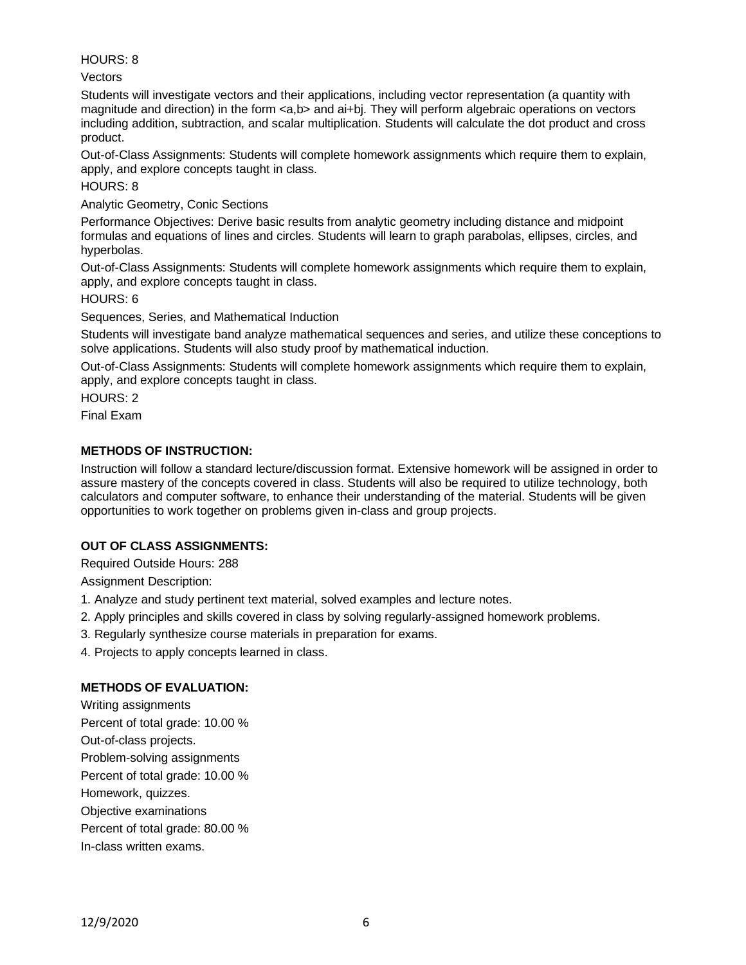## HOURS: 8

Vectors

Students will investigate vectors and their applications, including vector representation (a quantity with magnitude and direction) in the form  $\langle a, b \rangle$  and ai+bj. They will perform algebraic operations on vectors including addition, subtraction, and scalar multiplication. Students will calculate the dot product and cross product.

Out-of-Class Assignments: Students will complete homework assignments which require them to explain, apply, and explore concepts taught in class.

HOURS: 8

Analytic Geometry, Conic Sections

Performance Objectives: Derive basic results from analytic geometry including distance and midpoint formulas and equations of lines and circles. Students will learn to graph parabolas, ellipses, circles, and hyperbolas.

Out-of-Class Assignments: Students will complete homework assignments which require them to explain, apply, and explore concepts taught in class.

HOURS: 6

Sequences, Series, and Mathematical Induction

Students will investigate band analyze mathematical sequences and series, and utilize these conceptions to solve applications. Students will also study proof by mathematical induction.

Out-of-Class Assignments: Students will complete homework assignments which require them to explain, apply, and explore concepts taught in class.

HOURS: 2

Final Exam

## **METHODS OF INSTRUCTION:**

Instruction will follow a standard lecture/discussion format. Extensive homework will be assigned in order to assure mastery of the concepts covered in class. Students will also be required to utilize technology, both calculators and computer software, to enhance their understanding of the material. Students will be given opportunities to work together on problems given in-class and group projects.

## **OUT OF CLASS ASSIGNMENTS:**

Required Outside Hours: 288

Assignment Description:

- 1. Analyze and study pertinent text material, solved examples and lecture notes.
- 2. Apply principles and skills covered in class by solving regularly-assigned homework problems.
- 3. Regularly synthesize course materials in preparation for exams.
- 4. Projects to apply concepts learned in class.

## **METHODS OF EVALUATION:**

Writing assignments Percent of total grade: 10.00 % Out-of-class projects. Problem-solving assignments Percent of total grade: 10.00 % Homework, quizzes. Objective examinations Percent of total grade: 80.00 % In-class written exams.